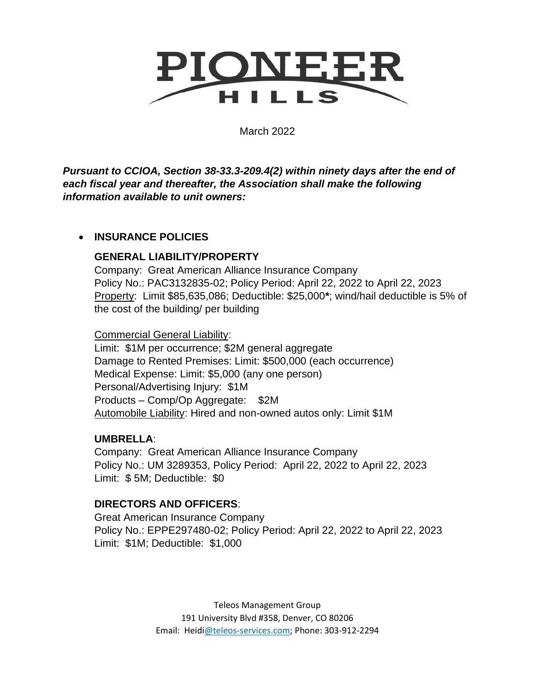

March 2022

*Pursuant to CCIOA, Section 38-33.3-209.4(2) within ninety days after the end of each fiscal year and thereafter, the Association shall make the following information available to unit owners:* 

## • **INSURANCE POLICIES**

## **GENERAL LIABILITY/PROPERTY**

Company: Great American Alliance Insurance Company Policy No.: PAC3132835-02; Policy Period: April 22, 2022 to April 22, 2023 Property: Limit \$85,635,086; Deductible: \$25,000**\***; wind/hail deductible is 5% of the cost of the building/ per building

Commercial General Liability:

Limit: \$1M per occurrence; \$2M general aggregate Damage to Rented Premises: Limit: \$500,000 (each occurrence) Medical Expense: Limit: \$5,000 (any one person) Personal/Advertising Injury: \$1M Products – Comp/Op Aggregate: \$2M Automobile Liability: Hired and non-owned autos only: Limit \$1M

## **UMBRELLA**:

Company: Great American Alliance Insurance Company Policy No.: UM 3289353, Policy Period: April 22, 2022 to April 22, 2023 Limit: \$ 5M; Deductible: \$0

## **DIRECTORS AND OFFICERS**:

Great American Insurance Company Policy No.: EPPE297480-02; Policy Period: April 22, 2022 to April 22, 2023 Limit: \$1M; Deductible: \$1,000

> Teleos Management Group 191 University Blvd #358, Denver, CO 80206 Email: Heid[i@teleos-services.com;](mailto:Lynn@teleos-services.com) Phone: 303-912-2294